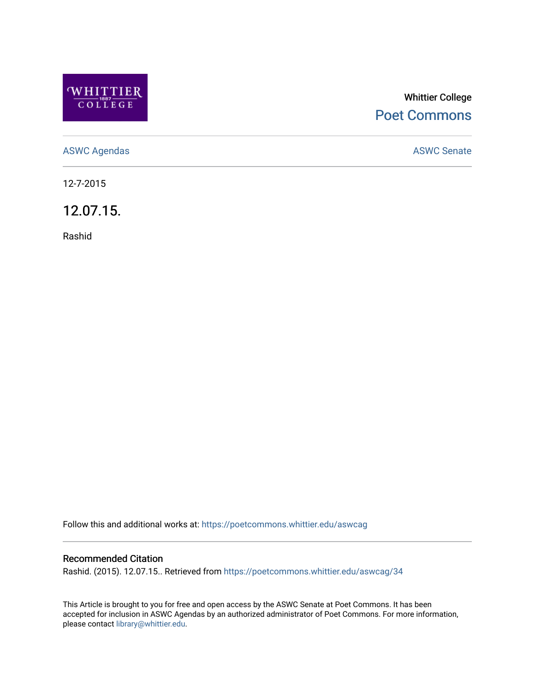

# Whittier College [Poet Commons](https://poetcommons.whittier.edu/)

[ASWC Agendas](https://poetcommons.whittier.edu/aswcag) **ASWC Senate** 

12-7-2015

12.07.15.

Rashid

Follow this and additional works at: [https://poetcommons.whittier.edu/aswcag](https://poetcommons.whittier.edu/aswcag?utm_source=poetcommons.whittier.edu%2Faswcag%2F34&utm_medium=PDF&utm_campaign=PDFCoverPages) 

## Recommended Citation

Rashid. (2015). 12.07.15.. Retrieved from [https://poetcommons.whittier.edu/aswcag/34](https://poetcommons.whittier.edu/aswcag/34?utm_source=poetcommons.whittier.edu%2Faswcag%2F34&utm_medium=PDF&utm_campaign=PDFCoverPages)

This Article is brought to you for free and open access by the ASWC Senate at Poet Commons. It has been accepted for inclusion in ASWC Agendas by an authorized administrator of Poet Commons. For more information, please contact [library@whittier.edu](mailto:library@whittier.edu).